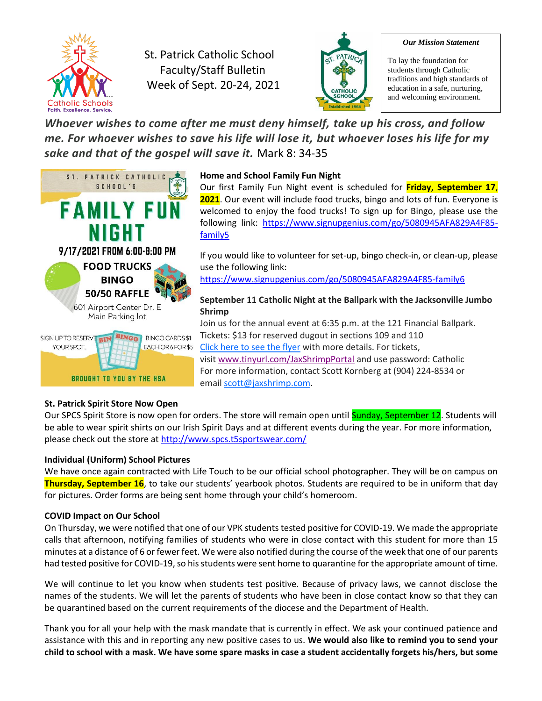

St. Patrick Catholic School Faculty/Staff Bulletin Week of Sept. 20-24, 2021



#### *Our Mission Statement*

To lay the foundation for students through Catholic traditions and high standards of education in a safe, nurturing, and welcoming environment.

*Whoever wishes to come after me must deny himself, take up his cross, and follow me. For whoever wishes to save his life will lose it, but whoever loses his life for my sake and that of the gospel will save it.* Mark 8: 34-35



### **Home and School Family Fun Night**

Our first Family Fun Night event is scheduled for **Friday, September 17**, **2021**. Our event will include food trucks, bingo and lots of fun. Everyone is welcomed to enjoy the food trucks! To sign up for Bingo, please use the following link: [https://www.signupgenius.com/go/5080945AFA829A4F85](https://www.signupgenius.com/go/5080945AFA829A4F85-family5) [family5](https://www.signupgenius.com/go/5080945AFA829A4F85-family5)

If you would like to volunteer for set-up, bingo check-in, or clean-up, please use the following link:

<https://www.signupgenius.com/go/5080945AFA829A4F85-family6>

## **September 11 Catholic Night at the Ballpark with the Jacksonville Jumbo Shrimp**

Join us for the annual event at 6:35 p.m. at the 121 Financial Ballpark. Tickets: \$13 for reserved dugout in sections 109 and 110 [Click here to see the flyer](https://dosafl.us9.list-manage.com/track/click?u=5cbbc6030d8ad8295bee54a60&id=4c6dbf4261&e=c2841d262a) with more details. For tickets, visit [www.tinyurl.com/JaxShrimpPortal](http://www.tinyurl.com/JaxShrimpPortal) and use password: Catholic For more information, contact Scott Kornberg at (904) 224-8534 or email [scott@jaxshrimp.com.](mailto:scott@jaxshrimp.com)

## **St. Patrick Spirit Store Now Open**

Our SPCS Spirit Store is now open for orders. The store will remain open until Sunday, September 12. Students will be able to wear spirit shirts on our Irish Spirit Days and at different events during the year. For more information, please check out the store at<http://www.spcs.t5sportswear.com/>

#### **Individual (Uniform) School Pictures**

We have once again contracted with Life Touch to be our official school photographer. They will be on campus on **Thursday, September 16**, to take our students' yearbook photos. Students are required to be in uniform that day for pictures. Order forms are being sent home through your child's homeroom.

#### **COVID Impact on Our School**

On Thursday, we were notified that one of our VPK students tested positive for COVID-19. We made the appropriate calls that afternoon, notifying families of students who were in close contact with this student for more than 15 minutes at a distance of 6 or fewer feet. We were also notified during the course of the week that one of our parents had tested positive for COVID-19, so his students were sent home to quarantine for the appropriate amount of time.

We will continue to let you know when students test positive. Because of privacy laws, we cannot disclose the names of the students. We will let the parents of students who have been in close contact know so that they can be quarantined based on the current requirements of the diocese and the Department of Health.

Thank you for all your help with the mask mandate that is currently in effect. We ask your continued patience and assistance with this and in reporting any new positive cases to us. **We would also like to remind you to send your child to school with a mask. We have some spare masks in case a student accidentally forgets his/hers, but some**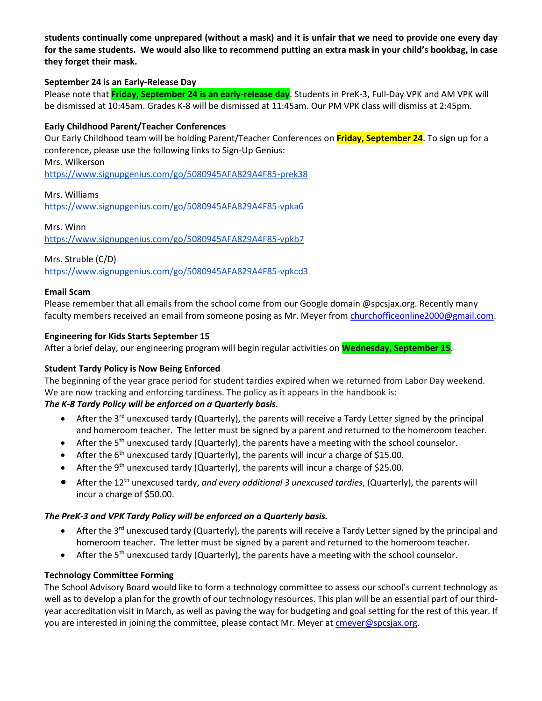**students continually come unprepared (without a mask) and it is unfair that we need to provide one every day for the same students. We would also like to recommend putting an extra mask in your child's bookbag, in case they forget their mask.**

### **September 24 is an Early-Release Day**

Please note that **Friday, September 24 is an early-release day**. Students in PreK-3, Full-Day VPK and AM VPK will be dismissed at 10:45am. Grades K-8 will be dismissed at 11:45am. Our PM VPK class will dismiss at 2:45pm.

### **Early Childhood Parent/Teacher Conferences**

Our Early Childhood team will be holding Parent/Teacher Conferences on **Friday, September 24**. To sign up for a conference, please use the following links to Sign-Up Genius:

Mrs. Wilkerson

<https://www.signupgenius.com/go/5080945AFA829A4F85-prek38>

#### Mrs. Williams

<https://www.signupgenius.com/go/5080945AFA829A4F85-vpka6>

#### Mrs. Winn

<https://www.signupgenius.com/go/5080945AFA829A4F85-vpkb7>

Mrs. Struble (C/D)

<https://www.signupgenius.com/go/5080945AFA829A4F85-vpkcd3>

### **Email Scam**

Please remember that all emails from the school come from our Google domain @spcsjax.org. Recently many faculty members received an email from someone posing as Mr. Meyer from [churchofficeonline2000@gmail.com.](mailto:churchofficeonline2000@gmail.com)

#### **Engineering for Kids Starts September 15**

After a brief delay, our engineering program will begin regular activities on **Wednesday, September 15**.

## **Student Tardy Policy is Now Being Enforced**

The beginning of the year grace period for student tardies expired when we returned from Labor Day weekend. We are now tracking and enforcing tardiness. The policy as it appears in the handbook is:

## *The K-8 Tardy Policy will be enforced on a Quarterly basis.*

- After the 3<sup>rd</sup> unexcused tardy (Quarterly), the parents will receive a Tardy Letter signed by the principal and homeroom teacher. The letter must be signed by a parent and returned to the homeroom teacher.
- After the 5<sup>th</sup> unexcused tardy (Quarterly), the parents have a meeting with the school counselor.
- After the  $6<sup>th</sup>$  unexcused tardy (Quarterly), the parents will incur a charge of \$15.00.
- After the 9<sup>th</sup> unexcused tardy (Quarterly), the parents will incur a charge of \$25.00.
- After the 12th unexcused tardy, *and every additional 3 unexcused tardies*, (Quarterly), the parents will incur a charge of \$50.00.

#### *The PreK-3 and VPK Tardy Policy will be enforced on a Quarterly basis.*

- After the 3<sup>rd</sup> unexcused tardy (Quarterly), the parents will receive a Tardy Letter signed by the principal and homeroom teacher. The letter must be signed by a parent and returned to the homeroom teacher.
- After the 5<sup>th</sup> unexcused tardy (Quarterly), the parents have a meeting with the school counselor.

#### **Technology Committee Forming**

The School Advisory Board would like to form a technology committee to assess our school's current technology as well as to develop a plan for the growth of our technology resources. This plan will be an essential part of our thirdyear accreditation visit in March, as well as paving the way for budgeting and goal setting for the rest of this year. If you are interested in joining the committee, please contact Mr. Meyer at [cmeyer@spcsjax.org.](mailto:cmeyer@spcsjax.org)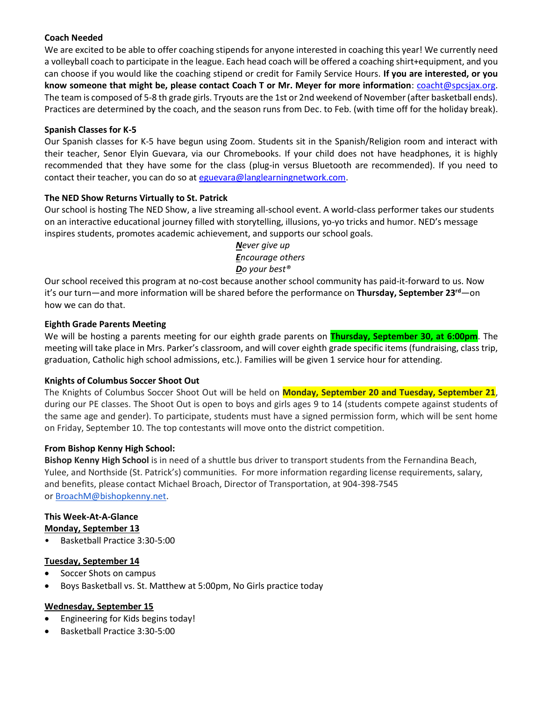## **Coach Needed**

We are excited to be able to offer coaching stipends for anyone interested in coaching this year! We currently need a volleyball coach to participate in the league. Each head coach will be offered a coaching shirt+equipment, and you can choose if you would like the coaching stipend or credit for Family Service Hours. **If you are interested, or you know someone that might be, please contact Coach T or Mr. Meyer for more information**: [coacht@spcsjax.org.](mailto:coacht@spcsjax.org) The team is composed of 5-8 th grade girls. Tryouts are the 1st or 2nd weekend of November (after basketball ends). Practices are determined by the coach, and the season runs from Dec. to Feb. (with time off for the holiday break).

### **Spanish Classes for K-5**

Our Spanish classes for K-5 have begun using Zoom. Students sit in the Spanish/Religion room and interact with their teacher, Senor Elyin Guevara, via our Chromebooks. If your child does not have headphones, it is highly recommended that they have some for the class (plug-in versus Bluetooth are recommended). If you need to contact their teacher, you can do so at [eguevara@langlearningnetwork.com.](mailto:eguevara@langlearningnetwork.com)

### **The NED Show Returns Virtually to St. Patrick**

Our school is hosting The NED Show, a live streaming all-school event. A world-class performer takes our students on an interactive educational journey filled with storytelling, illusions, yo-yo tricks and humor. NED's message inspires students, promotes academic achievement, and supports our school goals.

> *Never give up Encourage others Do your best®*

Our school received this program at no-cost because another school community has paid-it-forward to us. Now it's our turn—and more information will be shared before the performance on **Thursday, September 23rd**—on how we can do that.

#### **Eighth Grade Parents Meeting**

We will be hosting a parents meeting for our eighth grade parents on **Thursday, September 30, at 6:00pm**. The meeting will take place in Mrs. Parker's classroom, and will cover eighth grade specific items (fundraising, class trip, graduation, Catholic high school admissions, etc.). Families will be given 1 service hour for attending.

#### **Knights of Columbus Soccer Shoot Out**

The Knights of Columbus Soccer Shoot Out will be held on **Monday, September 20 and Tuesday, September 21**, during our PE classes. The Shoot Out is open to boys and girls ages 9 to 14 (students compete against students of the same age and gender). To participate, students must have a signed permission form, which will be sent home on Friday, September 10. The top contestants will move onto the district competition.

#### **From Bishop Kenny High School:**

**Bishop Kenny High School** is in need of a shuttle bus driver to transport students from the Fernandina Beach, Yulee, and Northside (St. Patrick's) communities. For more information regarding license requirements, salary, and benefits, please contact Michael Broach, Director of Transportation, at 904-398-7545 or [BroachM@bishopkenny.net.](mailto:BroachM@bishopkenny.net)

# **This Week-At-A-Glance**

#### **Monday, September 13**

• Basketball Practice 3:30-5:00

## **Tuesday, September 14**

- Soccer Shots on campus
- Boys Basketball vs. St. Matthew at 5:00pm, No Girls practice today

## **Wednesday, September 15**

- Engineering for Kids begins today!
- Basketball Practice 3:30-5:00